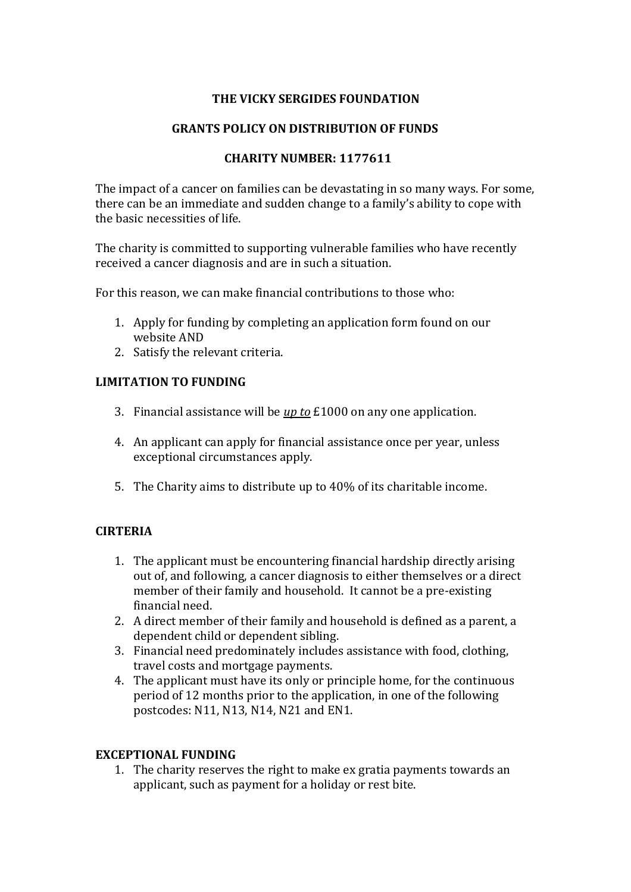# **THE VICKY SERGIDES FOUNDATION**

## **GRANTS POLICY ON DISTRIBUTION OF FUNDS**

# **CHARITY NUMBER: 1177611**

The impact of a cancer on families can be devastating in so many ways. For some, there can be an immediate and sudden change to a family's ability to cope with the basic necessities of life.

The charity is committed to supporting vulnerable families who have recently received a cancer diagnosis and are in such a situation.

For this reason, we can make financial contributions to those who:

- 1. Apply for funding by completing an application form found on our website AND
- 2. Satisfy the relevant criteria.

### **LIMITATION TO FUNDING**

- 3. Financial assistance will be *up to* £1000 on any one application.
- 4. An applicant can apply for financial assistance once per year, unless exceptional circumstances apply.
- 5. The Charity aims to distribute up to 40% of its charitable income.

### **CIRTERIA**

- 1. The applicant must be encountering financial hardship directly arising out of, and following, a cancer diagnosis to either themselves or a direct member of their family and household. It cannot be a pre-existing financial need.
- 2. A direct member of their family and household is defined as a parent, a dependent child or dependent sibling.
- 3. Financial need predominately includes assistance with food, clothing, travel costs and mortgage payments.
- 4. The applicant must have its only or principle home, for the continuous period of 12 months prior to the application, in one of the following postcodes: N11, N13, N14, N21 and EN1.

### **EXCEPTIONAL FUNDING**

1. The charity reserves the right to make ex gratia payments towards an applicant, such as payment for a holiday or rest bite.